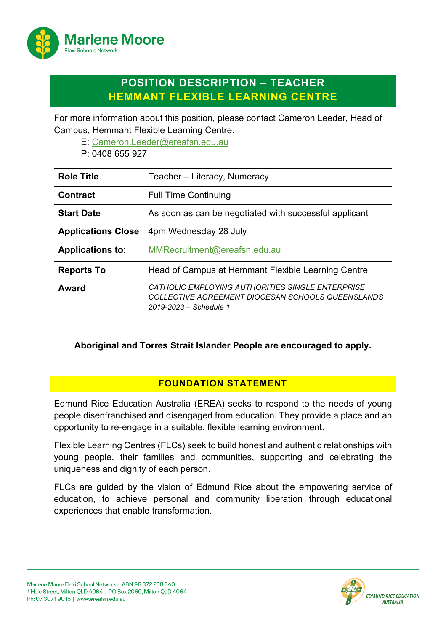

# **POSITION DESCRIPTION – TEACHER HEMMANT FLEXIBLE LEARNING CENTRE**

For more information about this position, please contact Cameron Leeder, Head of Campus, Hemmant Flexible Learning Centre.

E: [Cameron.Leeder@ereafsn.edu.au](mailto:Cameron.Leeder@ereafsn.edu.au)

P: 0408 655 927

| <b>Role Title</b>         | Teacher - Literacy, Numeracy                                                                                                           |
|---------------------------|----------------------------------------------------------------------------------------------------------------------------------------|
| <b>Contract</b>           | <b>Full Time Continuing</b>                                                                                                            |
| <b>Start Date</b>         | As soon as can be negotiated with successful applicant                                                                                 |
| <b>Applications Close</b> | 4pm Wednesday 28 July                                                                                                                  |
| <b>Applications to:</b>   | MMRecruitment@ereafsn.edu.au                                                                                                           |
| <b>Reports To</b>         | Head of Campus at Hemmant Flexible Learning Centre                                                                                     |
| Award                     | <i>CATHOLIC EMPLOYING AUTHORITIES SINGLE ENTERPRISE</i><br>COLLECTIVE AGREEMENT DIOCESAN SCHOOLS QUEENSLANDS<br>2019-2023 - Schedule 1 |

**Aboriginal and Torres Strait Islander People are encouraged to apply.**

# **FOUNDATION STATEMENT**

Edmund Rice Education Australia (EREA) seeks to respond to the needs of young people disenfranchised and disengaged from education. They provide a place and an opportunity to re-engage in a suitable, flexible learning environment.

Flexible Learning Centres (FLCs) seek to build honest and authentic relationships with young people, their families and communities, supporting and celebrating the uniqueness and dignity of each person.

FLCs are guided by the vision of Edmund Rice about the empowering service of education, to achieve personal and community liberation through educational experiences that enable transformation.

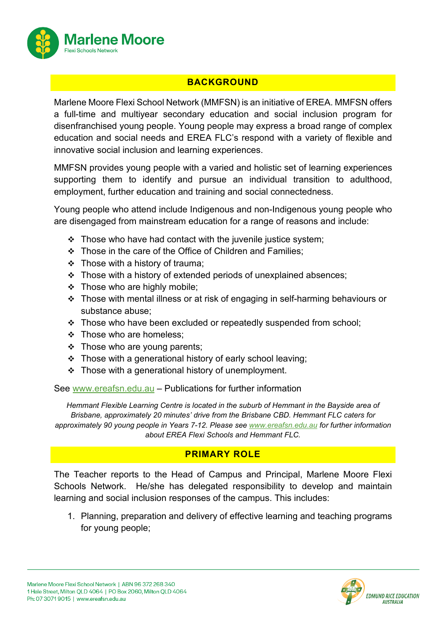

# **BACKGROUND**

Marlene Moore Flexi School Network (MMFSN) is an initiative of EREA. MMFSN offers a full-time and multiyear secondary education and social inclusion program for disenfranchised young people. Young people may express a broad range of complex education and social needs and EREA FLC's respond with a variety of flexible and innovative social inclusion and learning experiences.

MMFSN provides young people with a varied and holistic set of learning experiences supporting them to identify and pursue an individual transition to adulthood, employment, further education and training and social connectedness.

Young people who attend include Indigenous and non-Indigenous young people who are disengaged from mainstream education for a range of reasons and include:

- $\cdot \cdot$  Those who have had contact with the juvenile justice system;
- Those in the care of the Office of Children and Families;
- $\div$  Those with a history of trauma;
- Those with a history of extended periods of unexplained absences;
- $\div$  Those who are highly mobile;
- Those with mental illness or at risk of engaging in self-harming behaviours or substance abuse;
- \* Those who have been excluded or repeatedly suspended from school;
- Those who are homeless:
- $\div$  Those who are young parents;
- $\div$  Those with a generational history of early school leaving;
- Those with a generational history of unemployment.

See [www.ereafsn.edu.au](http://www.ereafsn.edu.au/) – Publications for further information

*Hemmant Flexible Learning Centre is located in the suburb of Hemmant in the Bayside area of Brisbane, approximately 20 minutes' drive from the Brisbane CBD. Hemmant FLC caters for approximately 90 young people in Years 7-12. Please see [www.ereafsn.edu.au](http://www.ereafsn.edu.au/) for further information about EREA Flexi Schools and Hemmant FLC.*

# **PRIMARY ROLE**

The Teacher reports to the Head of Campus and Principal, Marlene Moore Flexi Schools Network. He/she has delegated responsibility to develop and maintain learning and social inclusion responses of the campus. This includes:

1. Planning, preparation and delivery of effective learning and teaching programs for young people;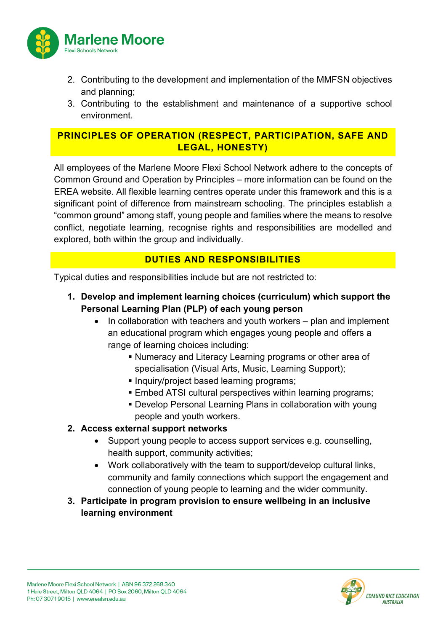

- 2. Contributing to the development and implementation of the MMFSN objectives and planning;
- 3. Contributing to the establishment and maintenance of a supportive school environment.

## **PRINCIPLES OF OPERATION (RESPECT, PARTICIPATION, SAFE AND LEGAL, HONESTY)**

All employees of the Marlene Moore Flexi School Network adhere to the concepts of Common Ground and Operation by Principles – more information can be found on the EREA website. All flexible learning centres operate under this framework and this is a significant point of difference from mainstream schooling. The principles establish a "common ground" among staff, young people and families where the means to resolve conflict, negotiate learning, recognise rights and responsibilities are modelled and explored, both within the group and individually.

## **DUTIES AND RESPONSIBILITIES**

Typical duties and responsibilities include but are not restricted to:

- **1. Develop and implement learning choices (curriculum) which support the Personal Learning Plan (PLP) of each young person** 
	- In collaboration with teachers and youth workers plan and implement an educational program which engages young people and offers a range of learning choices including:
		- Numeracy and Literacy Learning programs or other area of specialisation (Visual Arts, Music, Learning Support);
		- **Inquiry/project based learning programs;**
		- Embed ATSI cultural perspectives within learning programs;
		- Develop Personal Learning Plans in collaboration with young people and youth workers.

### **2. Access external support networks**

- Support young people to access support services e.g. counselling, health support, community activities;
- Work collaboratively with the team to support/develop cultural links, community and family connections which support the engagement and connection of young people to learning and the wider community.
- **3. Participate in program provision to ensure wellbeing in an inclusive learning environment**

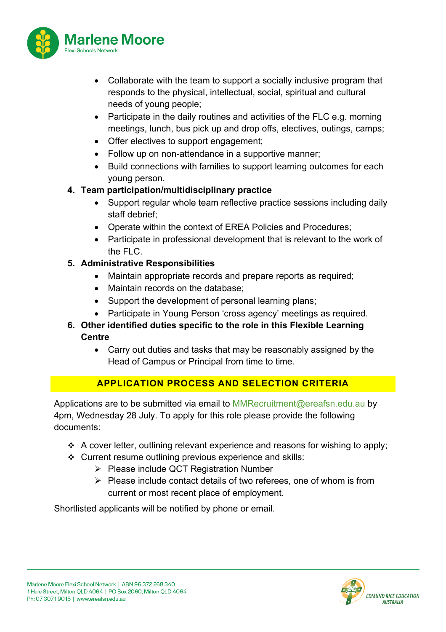

- Collaborate with the team to support a socially inclusive program that responds to the physical, intellectual, social, spiritual and cultural needs of young people;
- Participate in the daily routines and activities of the FLC e.g. morning meetings, lunch, bus pick up and drop offs, electives, outings, camps;
- Offer electives to support engagement;
- Follow up on non-attendance in a supportive manner;
- Build connections with families to support learning outcomes for each young person.

### **4. Team participation/multidisciplinary practice**

- Support regular whole team reflective practice sessions including daily staff debrief;
- Operate within the context of EREA Policies and Procedures;
- Participate in professional development that is relevant to the work of the FLC.

### **5. Administrative Responsibilities**

- Maintain appropriate records and prepare reports as required;
- Maintain records on the database;
- Support the development of personal learning plans;
- Participate in Young Person 'cross agency' meetings as required.
- **6. Other identified duties specific to the role in this Flexible Learning Centre**
	- Carry out duties and tasks that may be reasonably assigned by the Head of Campus or Principal from time to time.

# **APPLICATION PROCESS AND SELECTION CRITERIA**

Applications are to be submitted via email to [MMRecruitment@ereafsn.edu.au](mailto:MMRecruitment@ereafsn.edu.au) by 4pm, Wednesday 28 July. To apply for this role please provide the following documents:

- A cover letter, outlining relevant experience and reasons for wishing to apply;
- Current resume outlining previous experience and skills:
	- Please include QCT Registration Number
	- $\triangleright$  Please include contact details of two referees, one of whom is from current or most recent place of employment.

Shortlisted applicants will be notified by phone or email.